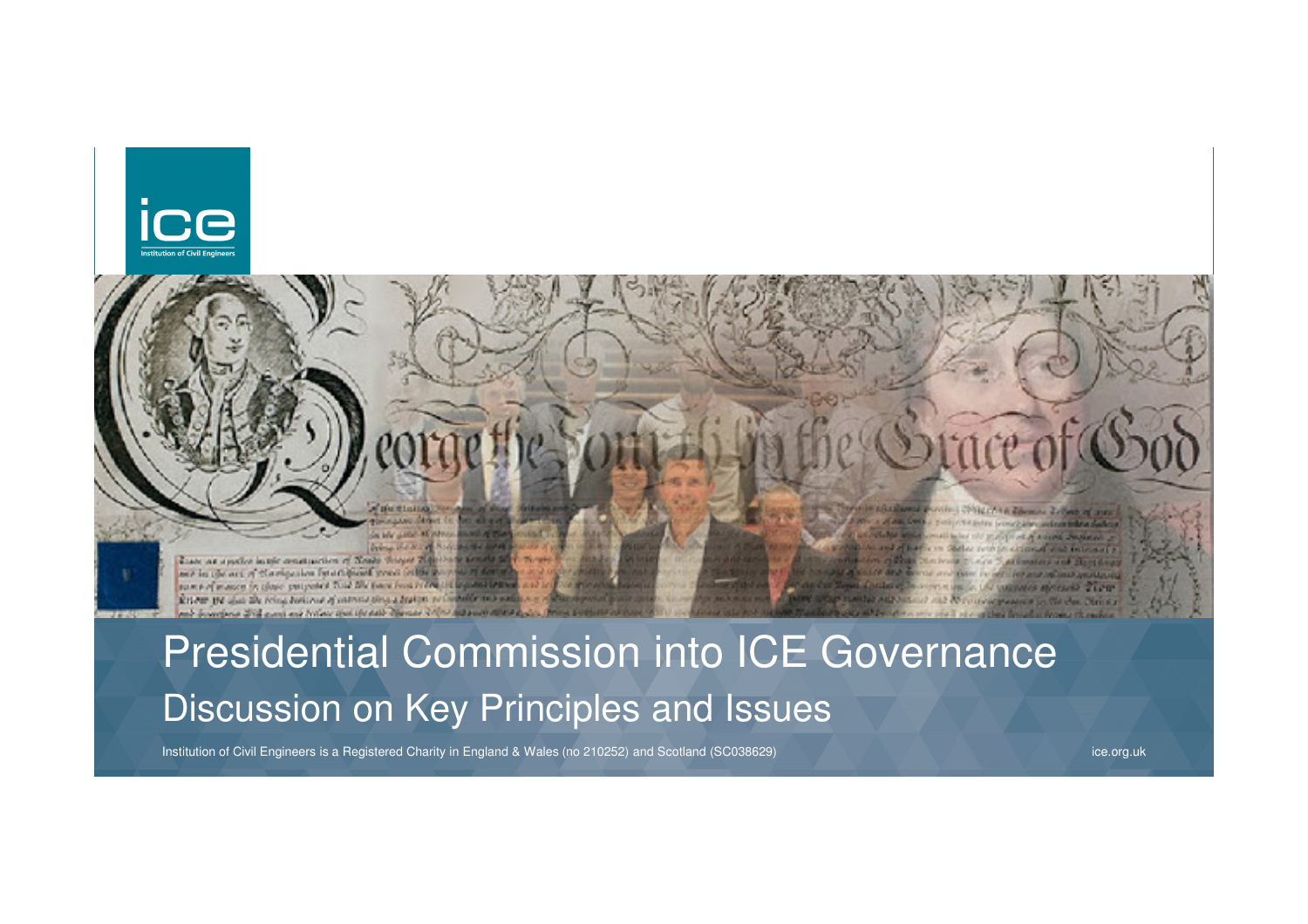



Presidential Commission into ICE GovernanceDiscussion on Key Principles and Issues

Institution of Civil Engineers is a Registered Charity in England & Wales (no 210252) and Scotland (SC038629)

ice.org.uk

wing children's a domestic company of the a of the Contact contact of the state of the contact of the contact of the con-

and before the property of a second sections.

at the side of an impatient and plans them

them in her her management and the

**Common Secretary of** 

UN WENNIS BROWN TECH

Citation programme for the class. Notice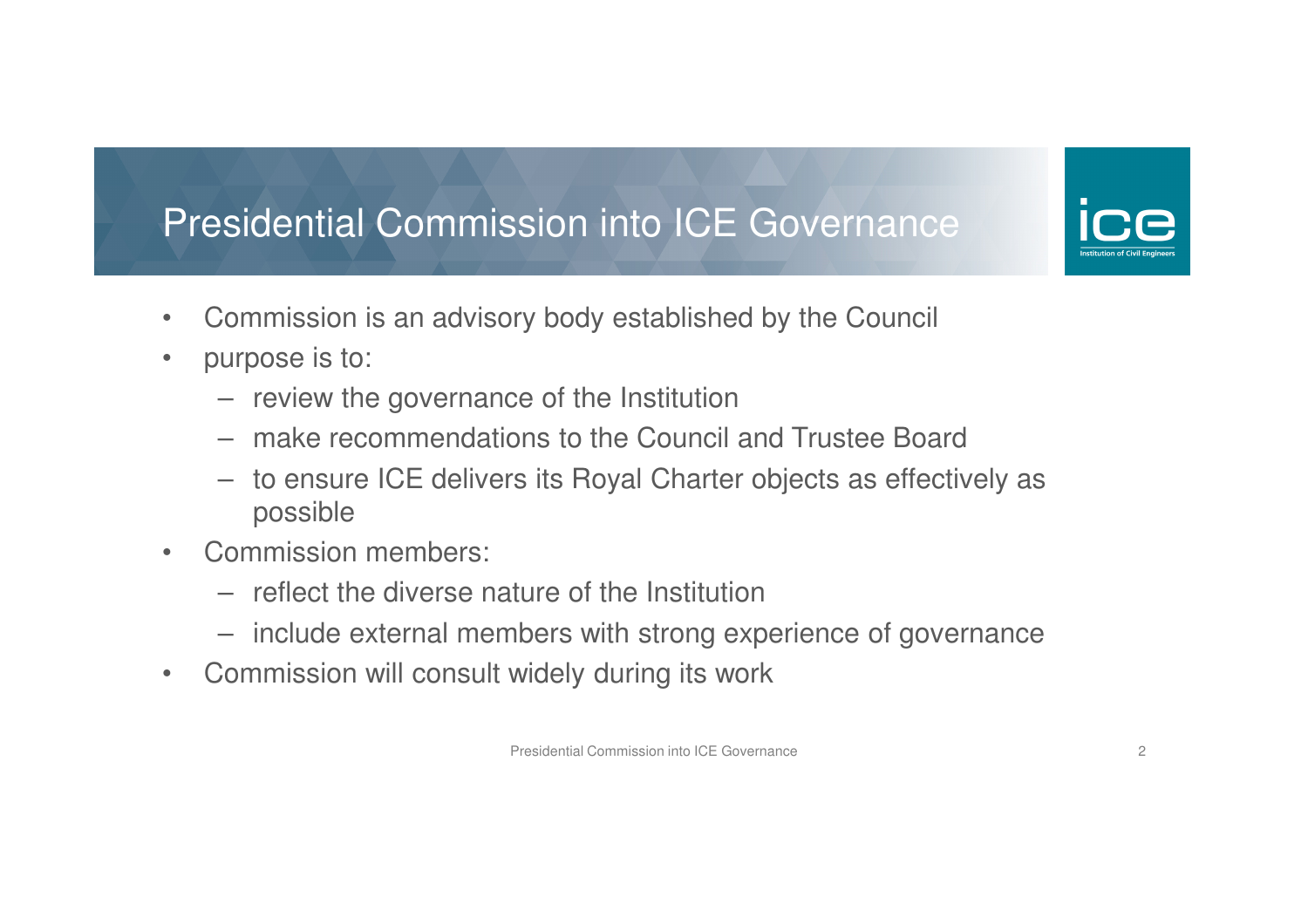- $\bullet$ Commission is an advisory body established by the Council
- $\bullet$  purpose is to:
	- review the governance of the Institution
	- make recommendations to the Council and Trustee Board
	- to ensure ICE delivers its Royal Charter objects as effectively as possible
- $\bullet$  Commission members:
	- reflect the diverse nature of the Institution
	- include external members with strong experience of governance
- $\bullet$ Commission will consult widely during its work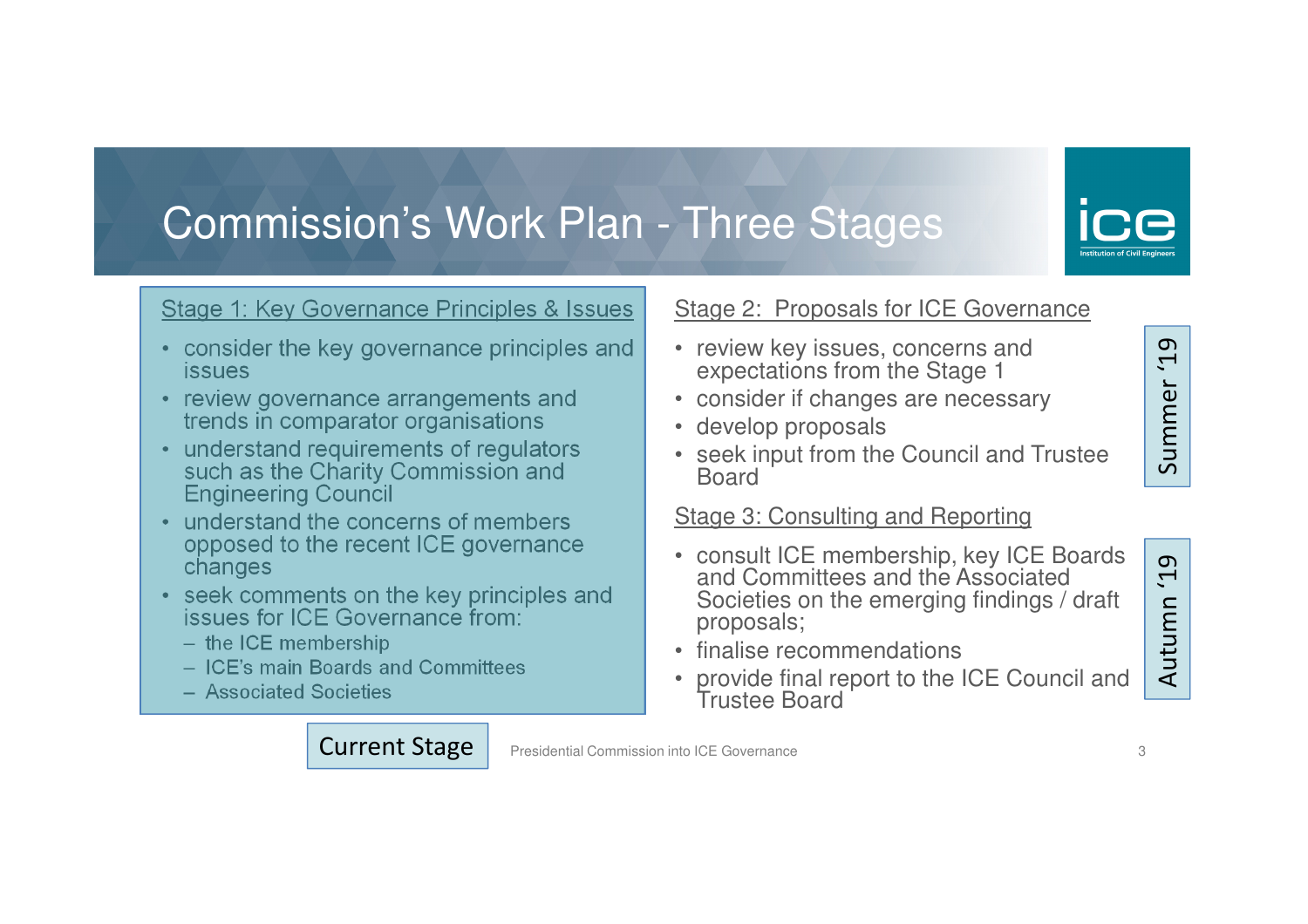## Commission's Work Plan - Three Stages

#### Stage 1: Key Governance Principles & Issues

- consider the key governance principles and issues
- review governance arrangements and trends in comparator organisations
- understand requirements of regulators such as the Charity Commission and Engineering Council
- understand the concerns of members opposed to the recent ICE governance changes
- seek comments on the key principles and issues for ICE Governance from:

Current Stage

- the ICE membership
- ICE's main Boards and Committees
- Associated Societies

#### Stage 2: Proposals for ICE Governance

- review key issues, concerns and expectations from the Stage 1
- consider if changes are necessary
- develop proposals
- seek input from the Council and Trustee Board

#### Stage 3: Consulting and Reporting

- consult ICE membership, key ICE Boards and Committees and the Associated Societies on the emerging findings / draft proposals;
- finalise recommendations

Presidential Commission into ICE Governance <sup>3</sup>

 • provide final report to the ICE Council and Trustee Board

### **0T,** Autumn '19Autumn

 $\sigma$ Summer '19  $\tilde{\mathbf{r}}$ Summer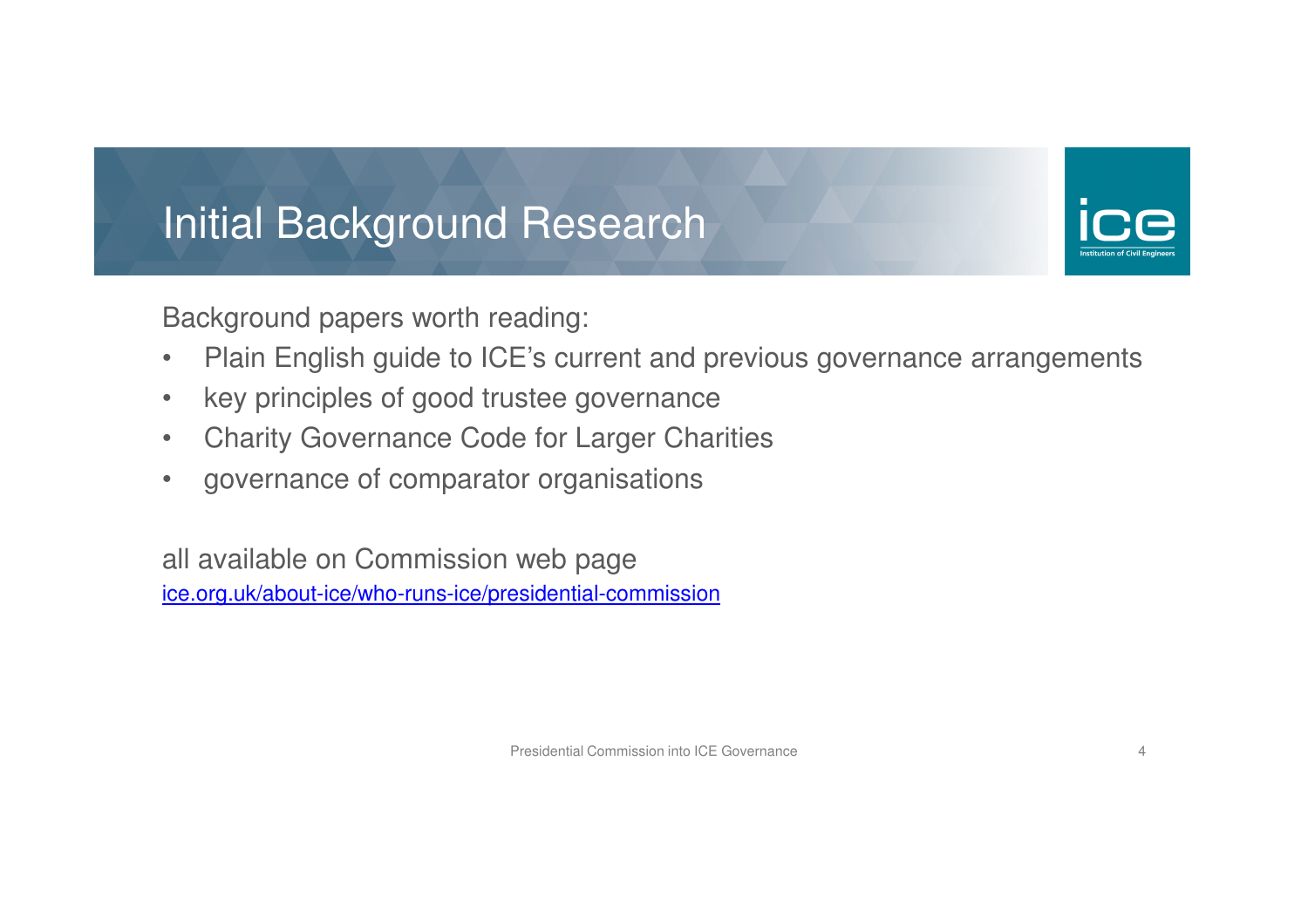# Initial Background Research

Background papers worth reading:

- $\bullet$ Plain English guide to ICE's current and previous governance arrangements
- •key principles of good trustee governance
- $\bullet$ Charity Governance Code for Larger Charities
- $\bullet$ governance of comparator organisations

all available on Commission web page ice.org.uk/about-ice/who-runs-ice/presidential-commission

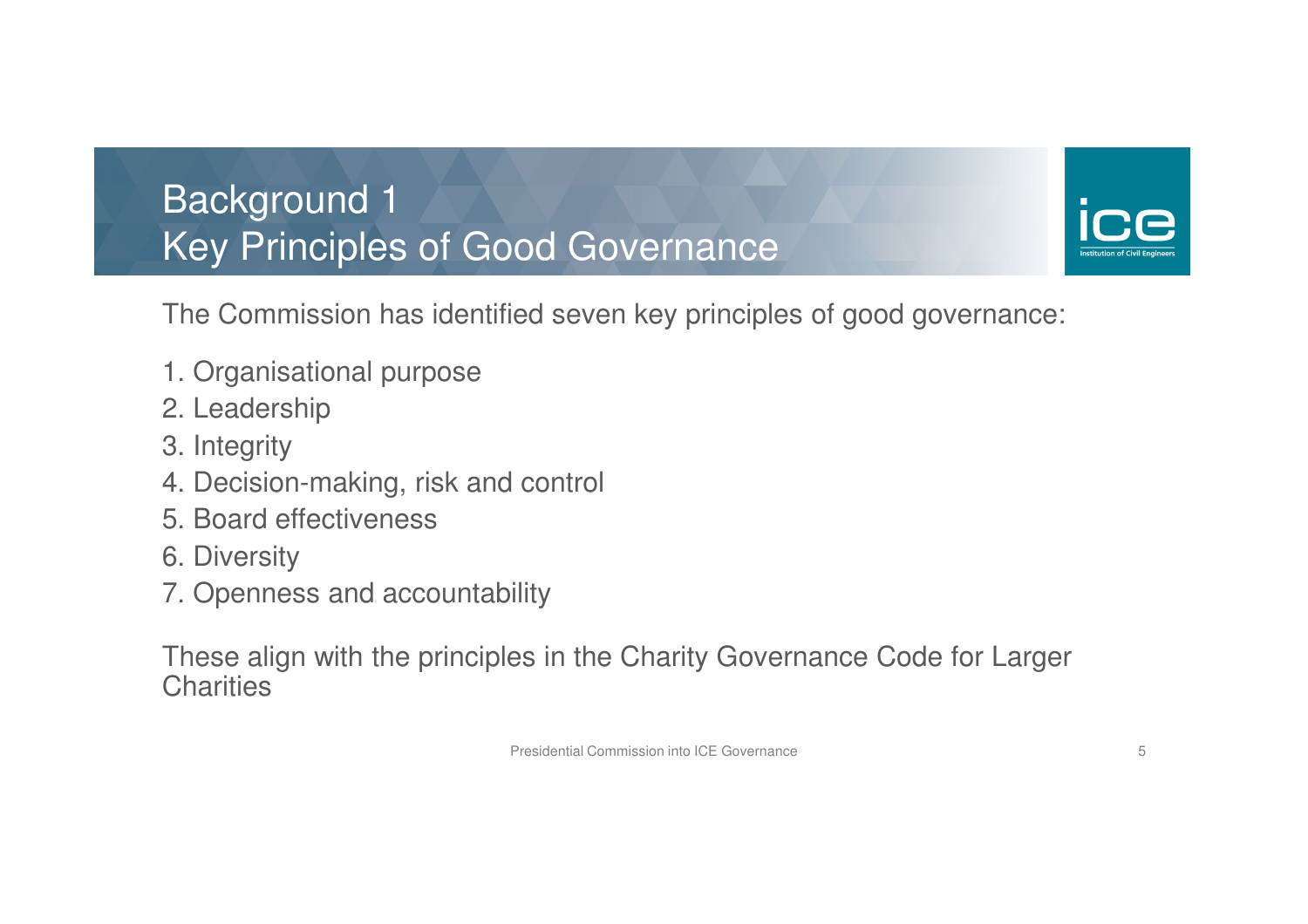Background 1Key Principles of Good Governance



The Commission has identified seven key principles of good governance:

- 1. Organisational purpose
- 2. Leadership
- 3. Integrity
- 4. Decision-making, risk and control
- 5. Board effectiveness
- 6. Diversity
- 7. Openness and accountability

These align with the principles in the Charity Governance Code for Larger **Charities**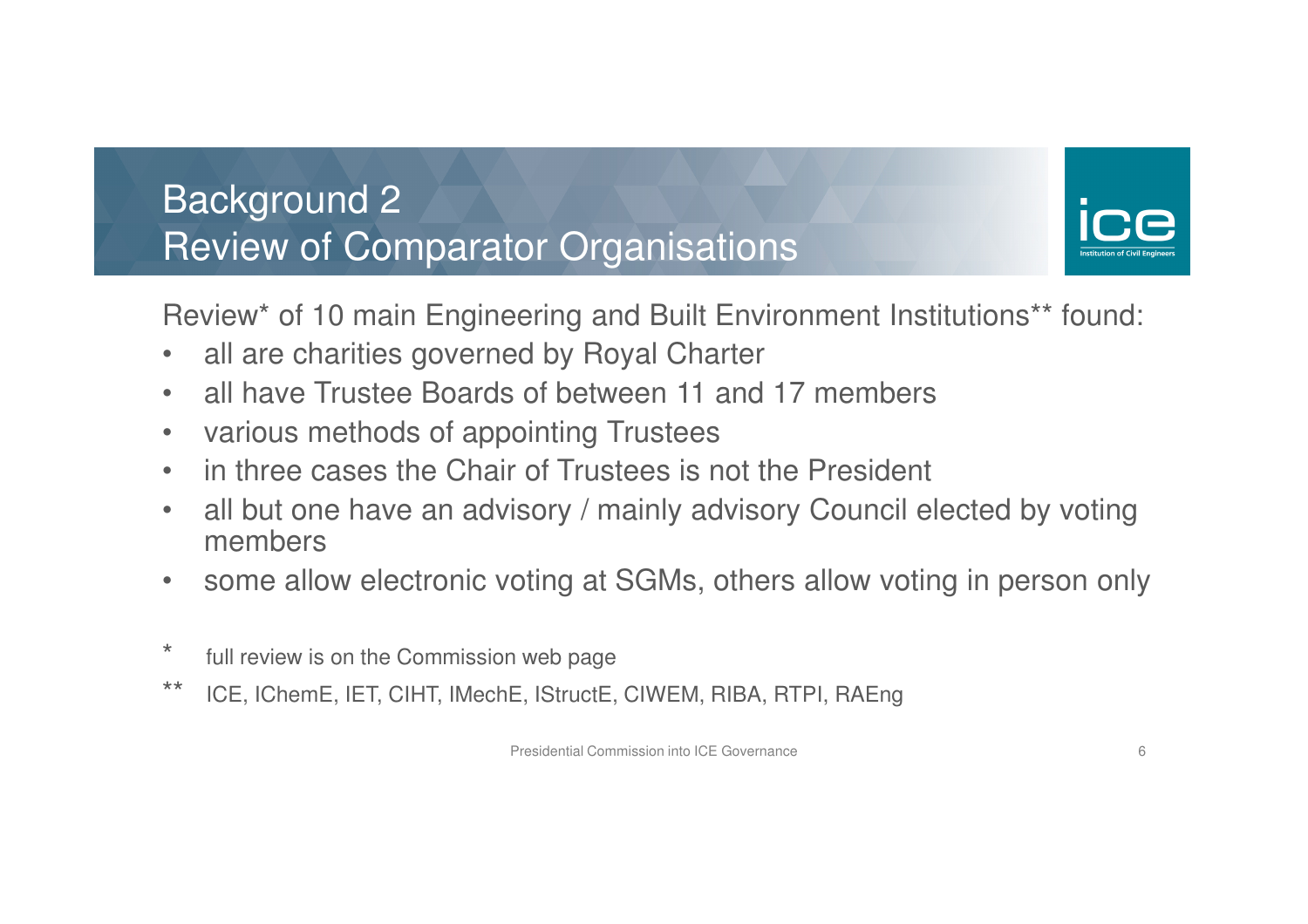### Background 2Review of Comparator Organisations



Review\* of 10 main Engineering and Built Environment Institutions\*\* found:

- $\bullet$ all are charities governed by Royal Charter
- •all have Trustee Boards of between 11 and 17 members
- $\bullet$ various methods of appointing Trustees
- in three cases the Chair of Trustees is not the President •
- • all but one have an advisory / mainly advisory Council elected by voting members
- $\bullet$ some allow electronic voting at SGMs, others allow voting in person only
- \* full review is on the Commission web page
- \*\* ICE, IChemE, IET, CIHT, IMechE, IStructE, CIWEM, RIBA, RTPI, RAEng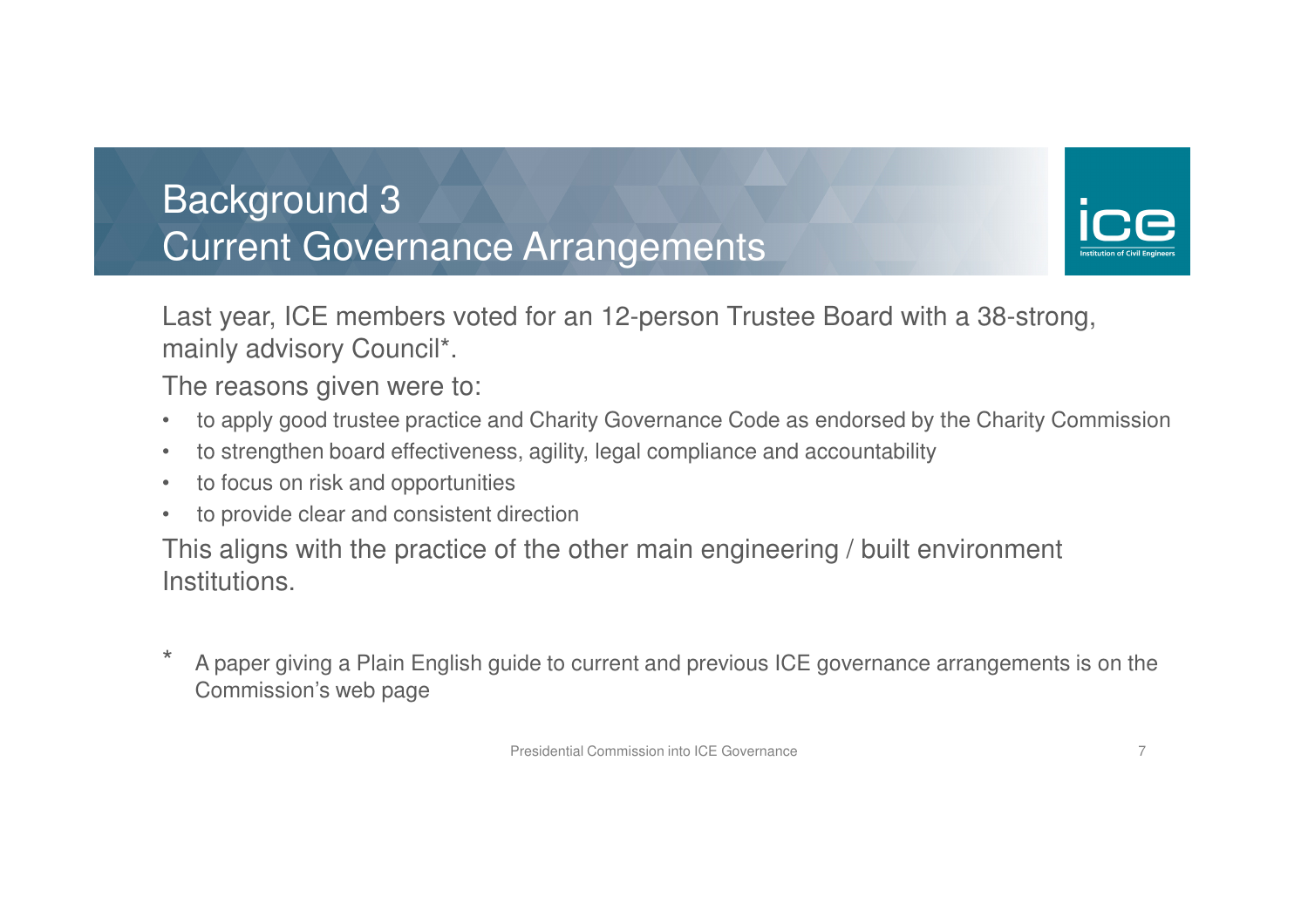### Background 3Current Governance Arrangements



Last year, ICE members voted for an 12-person Trustee Board with a 38-strong, mainly advisory Council\*.

The reasons given were to:

- $\bullet$ to apply good trustee practice and Charity Governance Code as endorsed by the Charity Commission
- $\bullet$ to strengthen board effectiveness, agility, legal compliance and accountability
- $\bullet$ to focus on risk and opportunities
- $\bullet$ to provide clear and consistent direction

This aligns with the practice of the other main engineering / built environment Institutions.

\* A paper giving a Plain English guide to current and previous ICE governance arrangements is on the Commission's web page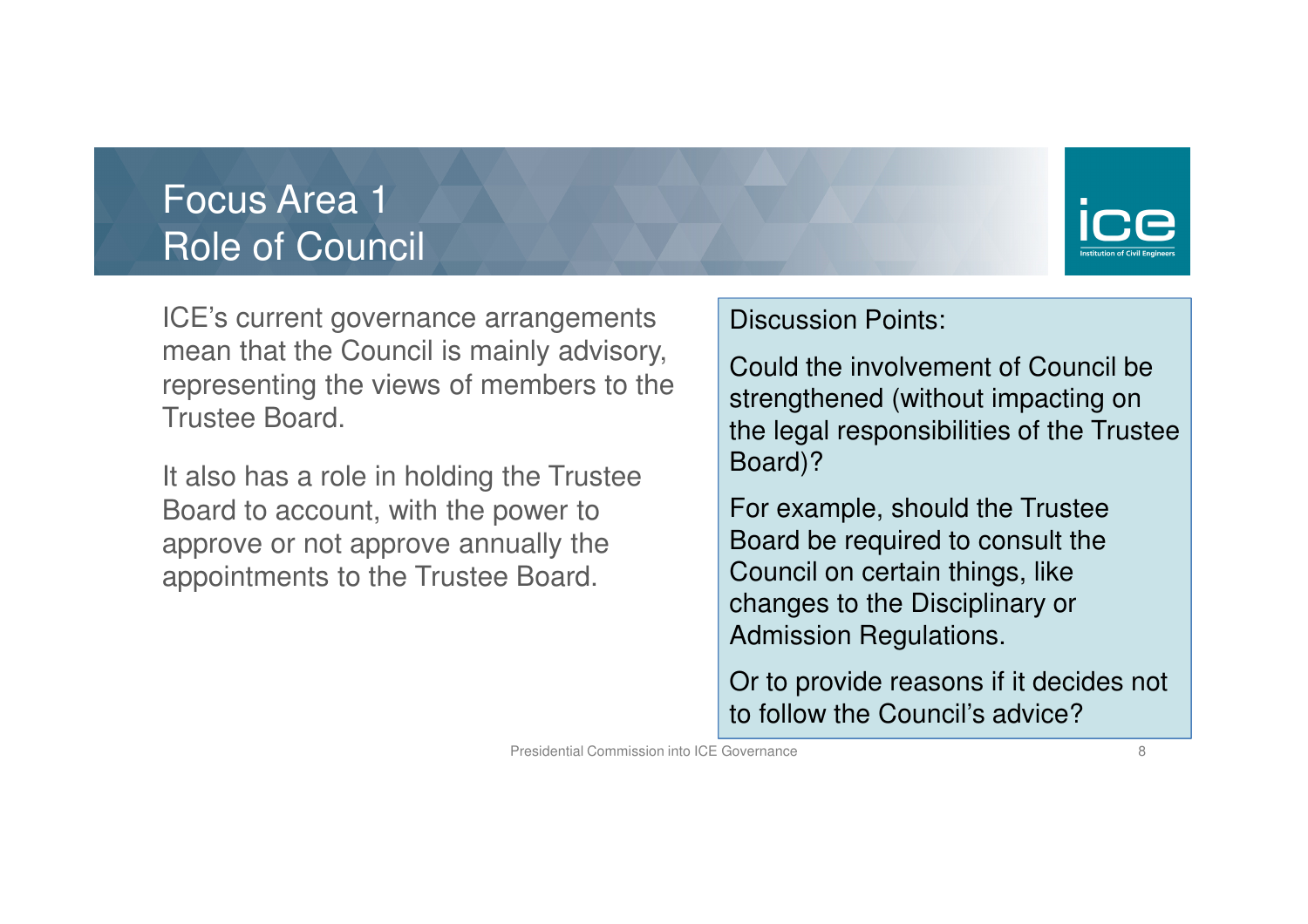### Focus Area 1Role of Council



ICE's current governance arrangements mean that the Council is mainly advisory, representing the views of members to the Trustee Board.

It also has a role in holding the Trustee Board to account, with the power to approve or not approve annually the appointments to the Trustee Board.

#### Discussion Points:

Could the involvement of Council be strengthened (without impacting on the legal responsibilities of the Trustee Board)?

For example, should the Trustee Board be required to consult the Council on certain things, like changes to the Disciplinary or Admission Regulations.

Or to provide reasons if it decides not to follow the Council's advice?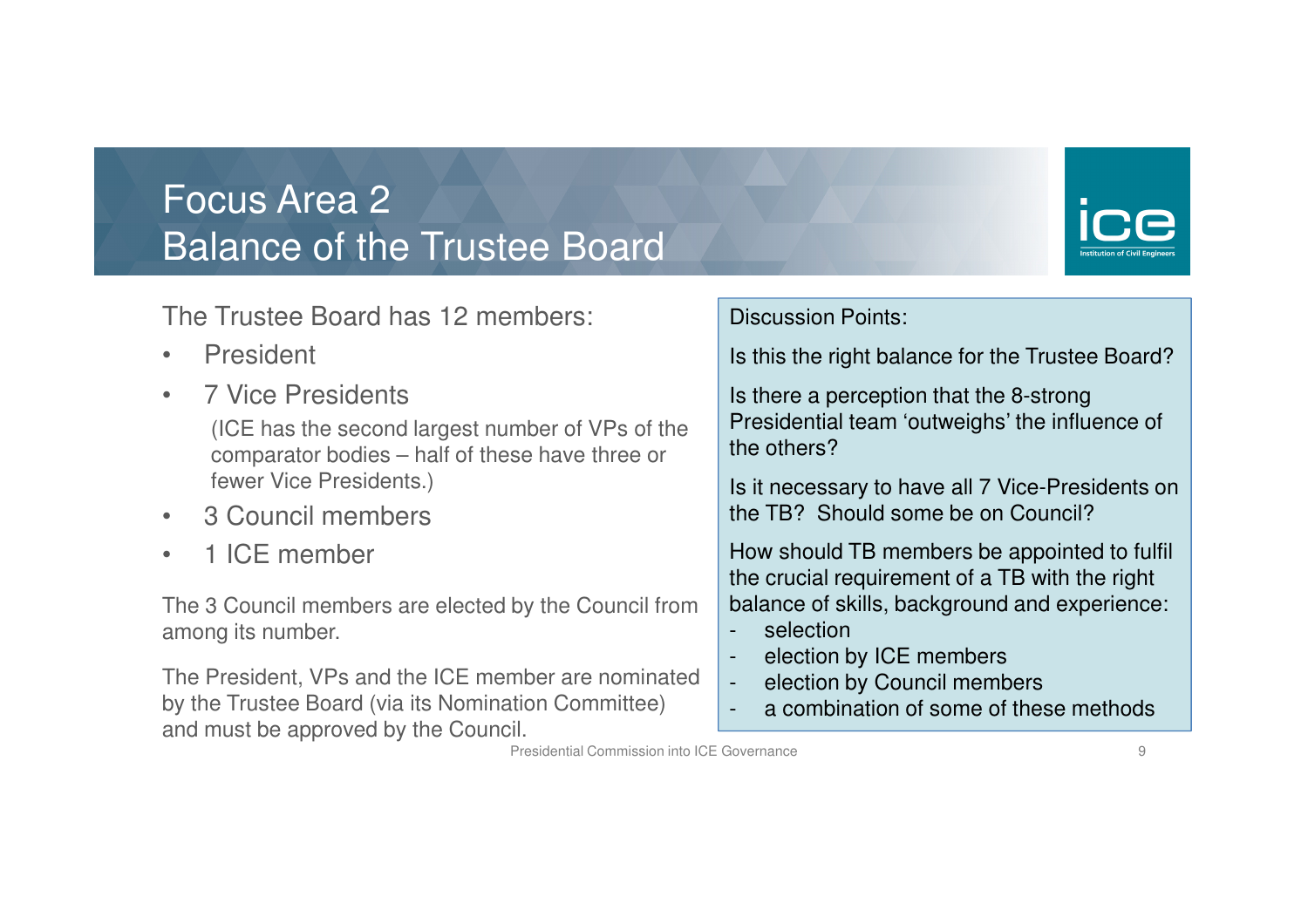#### Focus Area 2Balance of the Trustee Board



The Trustee Board has 12 members:

- •President
- •7 Vice Presidents

 (ICE has the second largest number of VPs of the comparator bodies – half of these have three or fewer Vice Presidents.)

- $\bullet$ 3 Council members
- •1 ICE member

The 3 Council members are elected by the Council from among its number.

The President, VPs and the ICE member are nominatedby the Trustee Board (via its Nomination Committee)and must be approved by the Council.

#### Discussion Points:

Is this the right balance for the Trustee Board?

Is there a perception that the 8-strong Presidential team 'outweighs' the influence of the others?

Is it necessary to have all 7 Vice-Presidents on the TB? Should some be on Council?

How should TB members be appointed to fulfil the crucial requirement of a TB with the right balance of skills, background and experience:

selection

-

-

- election by ICE members
- election by Council members-
- a combination of some of these methods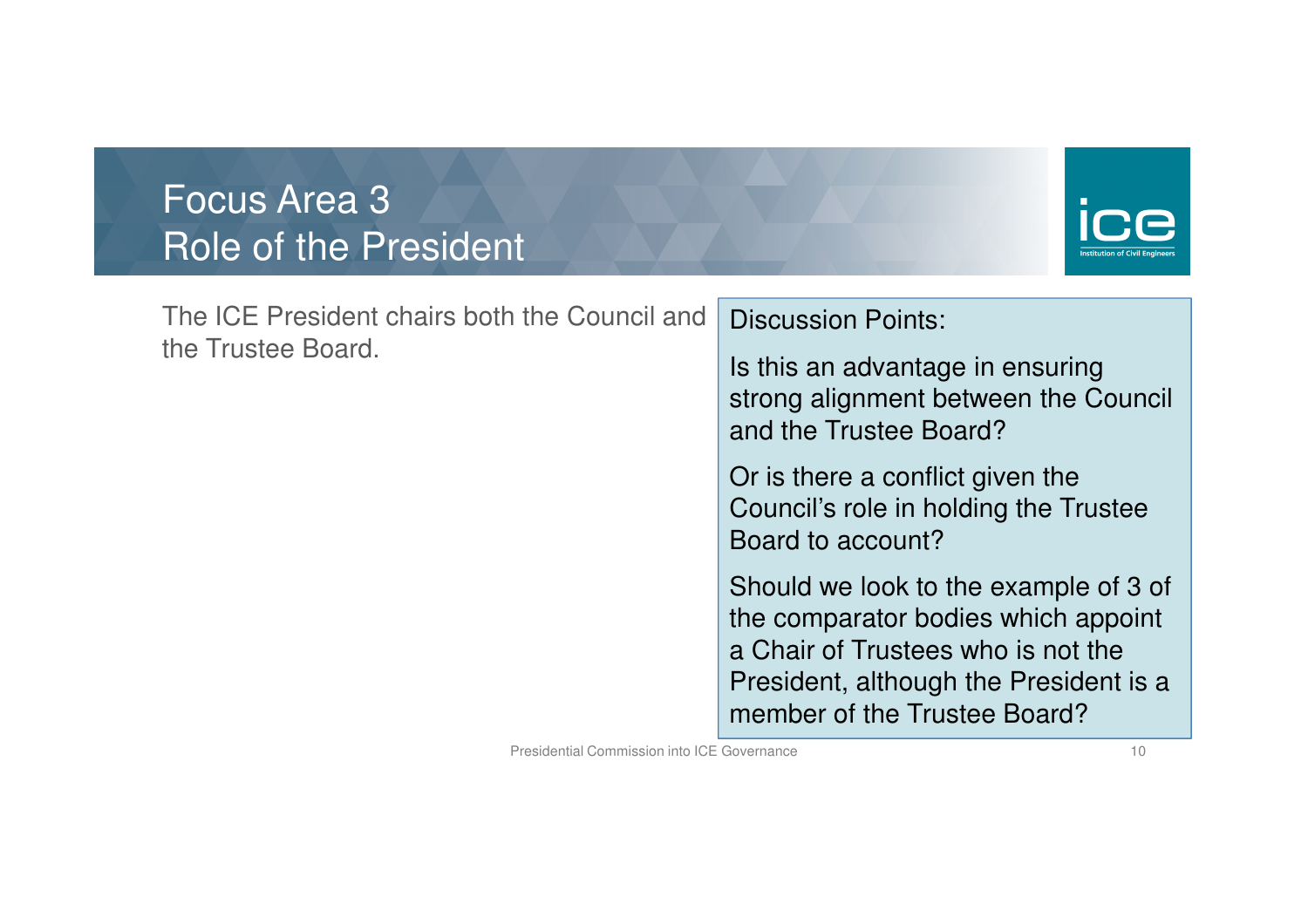### Focus Area 3Role of the President



| The ICE President chairs both the Council and<br>the Trustee Board. | <b>Discussion Points:</b>                                                                                                                                                                    |
|---------------------------------------------------------------------|----------------------------------------------------------------------------------------------------------------------------------------------------------------------------------------------|
|                                                                     | Is this an advantage in ensuring<br>strong alignment between the Council<br>and the Trustee Board?                                                                                           |
|                                                                     | Or is there a conflict given the<br>Council's role in holding the Trustee<br>Board to account?                                                                                               |
|                                                                     | Should we look to the example of 3 of<br>the comparator bodies which appoint<br>a Chair of Trustees who is not the<br>President, although the President is a<br>member of the Trustee Board? |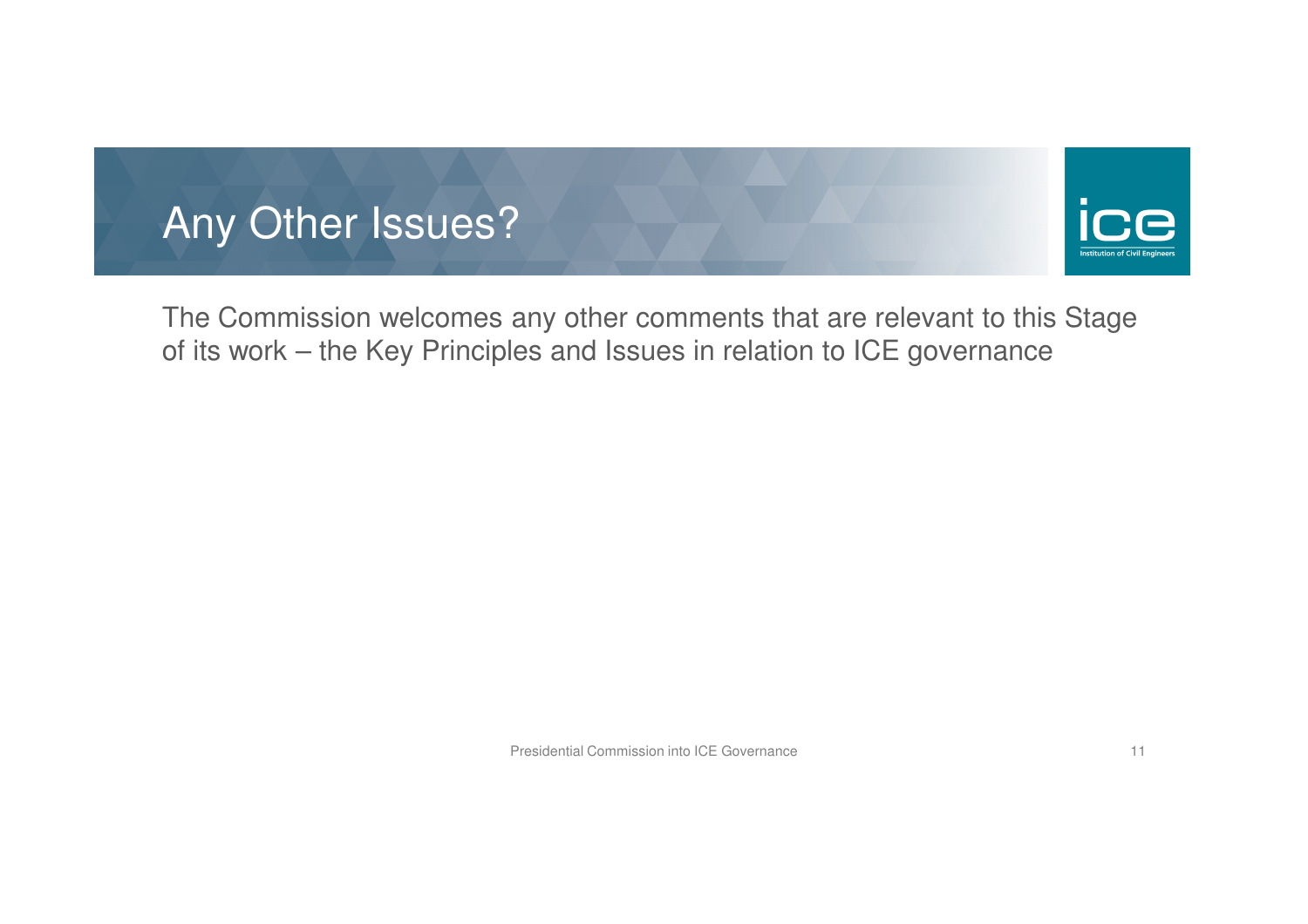



The Commission welcomes any other comments that are relevant to this Stage of its work – the Key Principles and Issues in relation to ICE governance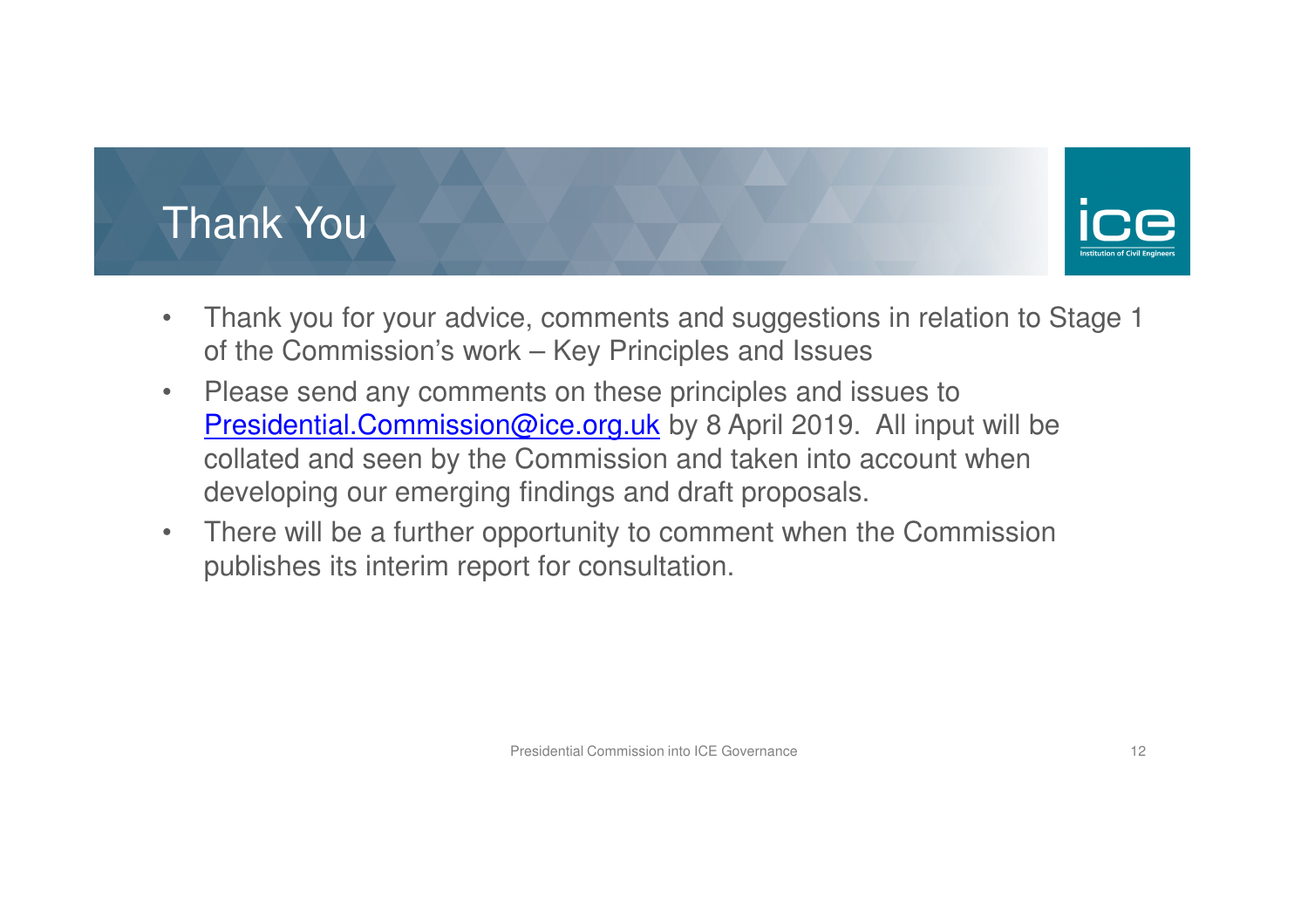# Thank You



- $\bullet$  Thank you for your advice, comments and suggestions in relation to Stage 1 of the Commission's work – Key Principles and Issues
- $\bullet$  Please send any comments on these principles and issues to Presidential.Commission@ice.org.uk by 8 April 2019. All input will be collated and seen by the Commission and taken into account when developing our emerging findings and draft proposals.
- $\bullet$  There will be a further opportunity to comment when the Commission publishes its interim report for consultation.